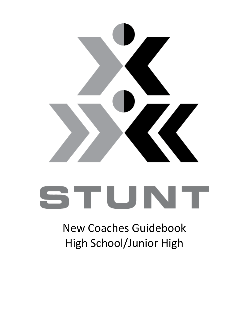

# STUNT

## New Coaches Guidebook High School/Junior High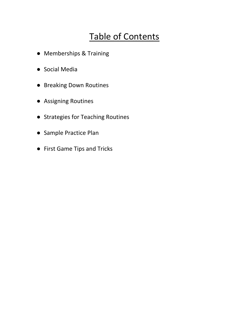### Table of Contents

- Memberships & Training
- Social Media
- Breaking Down Routines
- Assigning Routines
- Strategies for Teaching Routines
- Sample Practice Plan
- First Game Tips and Tricks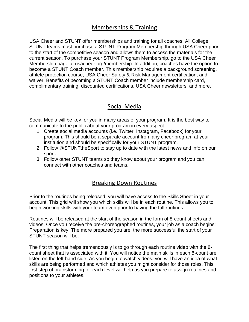#### Memberships & Training

USA Cheer and STUNT offer memberships and training for all coaches. All College STUNT teams must purchase a STUNT Program Membership through USA Cheer prior to the start of the competitive season and allows them to access the materials for the current season. To purchase your STUNT Program Membership, go to the USA Cheer Membership page at usacheer.org/membership. In addition, coaches have the option to become a STUNT Coach member. This membership requires a background screening, athlete protection course, USA Cheer Safety & Risk Management certification, and waiver. Benefits of becoming a STUNT Coach member include membership card, complimentary training, discounted certifications, USA Cheer newsletters, and more.

#### Social Media

Social Media will be key for you in many areas of your program. It is the best way to communicate to the public about your program in every aspect.

- 1. Create social media accounts (i.e. Twitter, Instagram, Facebook) for your program. This should be a separate account from any cheer program at your institution and should be specifically for your STUNT program.
- 2. Follow @STUNTtheSport to stay up to date with the latest news and info on our sport.
- 3. Follow other STUNT teams so they know about your program and you can connect with other coaches and teams.

#### Breaking Down Routines

Prior to the routines being released, you will have access to the Skills Sheet in your account. This grid will show you which skills will be in each routine. This allows you to begin working skills with your team even prior to having the full routines.

Routines will be released at the start of the season in the form of 8-count sheets and videos. Once you receive the pre-choreographed routines, your job as a coach begins! Preparation is key! The more prepared you are, the more successful the start of your STUNT season will be.

The first thing that helps tremendously is to go through each routine video with the 8 count sheet that is associated with it. You will notice the main skills in each 8-count are listed on the left-hand side. As you begin to watch videos, you will have an idea of what skills are being performed and which athletes you might consider for those roles. This first step of brainstorming for each level will help as you prepare to assign routines and positions to your athletes.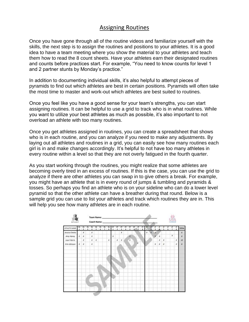#### Assigning Routines

Once you have gone through all of the routine videos and familiarize yourself with the skills, the next step is to assign the routines and positions to your athletes. It is a good idea to have a team meeting where you show the material to your athletes and teach them how to read the 8 count sheets. Have your athletes earn their designated routines and counts before practices start. For example, "You need to know counts for level 1 and 2 partner stunts by Monday's practice."

In addition to documenting individual skills, it's also helpful to attempt pieces of pyramids to find out which athletes are best in certain positions. Pyramids will often take the most time to master and work-out which athletes are best suited to routines.

Once you feel like you have a good sense for your team's strengths, you can start assigning routines. It can be helpful to use a grid to track who is in what routines. While you want to utilize your best athletes as much as possible, it's also important to not overload an athlete with too many routines.

Once you get athletes assigned in routines, you can create a spreadsheet that shows who is in each routine, and you can analyze if you need to make any adjustments. By laying out all athletes and routines in a grid, you can easily see how many routines each girl is in and make changes accordingly. It's helpful to not have too many athletes in every routine within a level so that they are not overly fatigued in the fourth quarter.

As you start working through the routines, you might realize that some athletes are becoming overly tired in an excess of routines. If this is the case, you can use the grid to analyze if there are other athletes you can swap in to give others a break. For example, you might have an athlete that is in every round of jumps & tumbling and pyramids & tosses. So perhaps you find an athlete who is on your sideline who can do a lower level pyramid so that the other athlete can have a breather during that round. Below is a sample grid you can use to list your athletes and track which routines they are in. This will help you see how many athletes are in each routine.

| <b>BTUNT</b>   |               |                |    |                           |    |  | Team Name: Williams<br>Coach Name: |   |                     |    |    |             |                                                                                                                      |   |   |   |   |                 | <u>USA</u> |                 |  |                                                         |                 |              |
|----------------|---------------|----------------|----|---------------------------|----|--|------------------------------------|---|---------------------|----|----|-------------|----------------------------------------------------------------------------------------------------------------------|---|---|---|---|-----------------|------------|-----------------|--|---------------------------------------------------------|-----------------|--------------|
| ATHLETE NAME   | $\frac{1}{1}$ | $\frac{18}{2}$ | 界主 |                           |    |  |                                    |   | m<br>2              | 門上 | n. |             | $\begin{array}{cc}\n\frac{1}{2} & \frac{1}{2} & \frac{1}{2} \\ \frac{1}{2} & \frac{1}{2} & \frac{1}{2}\n\end{array}$ |   | 門 | F | 罡 | $\frac{\pi}{1}$ |            | $\frac{\pi}{4}$ |  | $\begin{array}{cc} \pi & \pi \\ \pi & \tau \end{array}$ | $\frac{\pi}{4}$ | <b>TOTAL</b> |
| Jessica Chatto |               | x              |    | $\boldsymbol{\mathsf{x}}$ |    |  |                                    |   |                     | ×  |    |             |                                                                                                                      |   |   | × |   | ×               |            |                 |  |                                                         |                 |              |
| Amy Haney      |               | $X - X$        |    | x                         |    |  |                                    | x |                     |    |    | ×           |                                                                                                                      |   |   |   |   |                 | $_{\rm x}$ |                 |  | $\chi$                                                  |                 |              |
| Louri Horris   |               | x              |    | x.                        | ×. |  | x                                  |   | $\boldsymbol{\chi}$ | ×  |    | $\mathbf x$ |                                                                                                                      |   |   |   |   |                 | x          | x               |  |                                                         | x               | 10           |
| Erin Johnson   | $\mathbf{x}$  | x              |    | x                         |    |  |                                    |   |                     |    |    |             |                                                                                                                      | × |   |   |   | x               | $\chi$     | $\mathcal{X}$   |  |                                                         | x               |              |
|                |               |                |    |                           |    |  |                                    |   |                     |    |    |             |                                                                                                                      |   |   |   |   |                 |            |                 |  |                                                         |                 |              |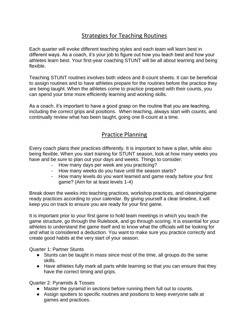#### Strategies for Teaching Routines

Each quarter will evoke different teaching styles and each team will learn best in different ways. As a coach, it's your job to figure out how you teach best and how your athletes learn best. Your first-year coaching STUNT will be all about learning and being flexible.

Teaching STUNT routines involves both videos and 8-count sheets. It can be beneficial to assign routines and to have athletes prepare for the routines before the practice they are being taught. When the athletes come to practice prepared with their counts, you can spend your time more efficiently learning and working skills.

As a coach, it's important to have a good grasp on the routine that you are teaching, including the correct grips and positions. When teaching, always start with counts, and continually review what has been taught, going one 8-count at a time.

#### Practice Planning

Every coach plans their practices differently. It is important to have a plan, while also being flexible. When you start training for STUNT season, look at how many weeks you have and be sure to plan out your days and weeks. Things to consider:

- How many days per week are you practicing?
- How many weeks do you have until the season starts?
- How many levels do you want learned and game ready before your first game? (Aim for at least levels 1-4)

Break down the weeks into teaching practices, workshop practices, and cleaning/game ready practices according to your calendar. By giving yourself a clear timeline, it will keep you on track to ensure you are ready for your first game.

It is important prior to your first game to hold team meetings in which you teach the game structure, go through the Rulebook, and go through scoring. It is essential for your athletes to understand the game itself and to know what the officials will be looking for and what is considered a deduction. You want to make sure you practice correctly and create good habits at the very start of your season.

Quarter 1: Partner Stunts

- Stunts can be taught in mass since most of the time, all groups do the same skills.
- Have athletes fully mark all parts while learning so that you can ensure that they have the correct timing and grips.

Quarter 2: Pyramids & Tosses

- Master the pyramid in sections before running them full out to counts.
- Assign spotters to specific routines and positions to keep everyone safe at games and practices.